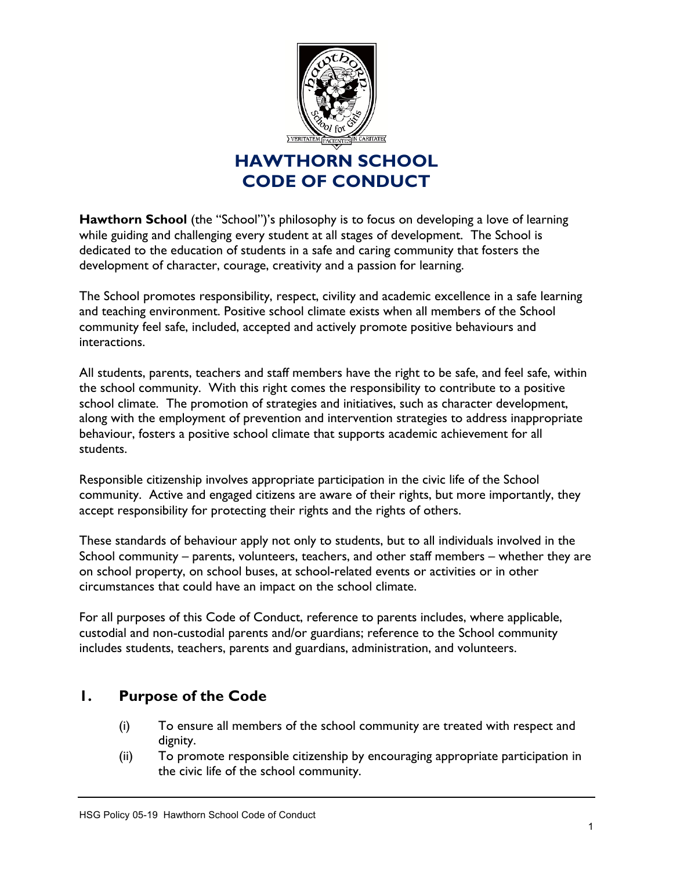

**Hawthorn School** (the "School")'s philosophy is to focus on developing a love of learning while guiding and challenging every student at all stages of development. The School is dedicated to the education of students in a safe and caring community that fosters the development of character, courage, creativity and a passion for learning.

The School promotes responsibility, respect, civility and academic excellence in a safe learning and teaching environment. Positive school climate exists when all members of the School community feel safe, included, accepted and actively promote positive behaviours and interactions.

All students, parents, teachers and staff members have the right to be safe, and feel safe, within the school community. With this right comes the responsibility to contribute to a positive school climate. The promotion of strategies and initiatives, such as character development, along with the employment of prevention and intervention strategies to address inappropriate behaviour, fosters a positive school climate that supports academic achievement for all students.

Responsible citizenship involves appropriate participation in the civic life of the School community. Active and engaged citizens are aware of their rights, but more importantly, they accept responsibility for protecting their rights and the rights of others.

These standards of behaviour apply not only to students, but to all individuals involved in the School community – parents, volunteers, teachers, and other staff members – whether they are on school property, on school buses, at school-related events or activities or in other circumstances that could have an impact on the school climate.

For all purposes of this Code of Conduct, reference to parents includes, where applicable, custodial and non-custodial parents and/or guardians; reference to the School community includes students, teachers, parents and guardians, administration, and volunteers.

## **1. Purpose of the Code**

- (i) To ensure all members of the school community are treated with respect and dignity.
- (ii) To promote responsible citizenship by encouraging appropriate participation in the civic life of the school community.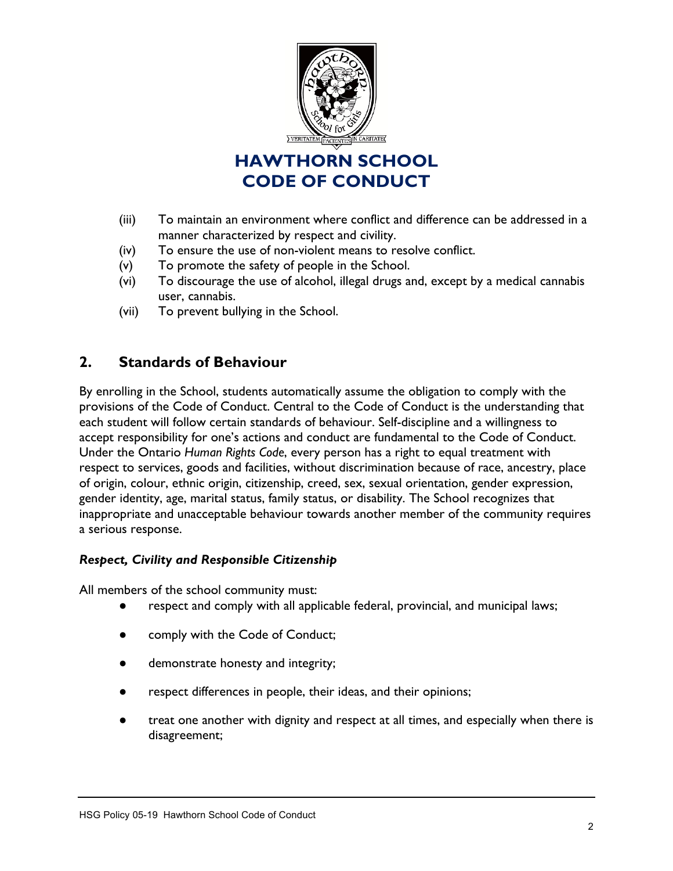

- (iii) To maintain an environment where conflict and difference can be addressed in a manner characterized by respect and civility.
- (iv) To ensure the use of non-violent means to resolve conflict.
- (v) To promote the safety of people in the School.
- (vi) To discourage the use of alcohol, illegal drugs and, except by a medical cannabis user, cannabis.
- (vii) To prevent bullying in the School.

## **2. Standards of Behaviour**

By enrolling in the School, students automatically assume the obligation to comply with the provisions of the Code of Conduct. Central to the Code of Conduct is the understanding that each student will follow certain standards of behaviour. Self-discipline and a willingness to accept responsibility for one's actions and conduct are fundamental to the Code of Conduct. Under the Ontario *Human Rights Code*, every person has a right to equal treatment with respect to services, goods and facilities, without discrimination because of race, ancestry, place of origin, colour, ethnic origin, citizenship, creed, sex, sexual orientation, gender expression, gender identity, age, marital status, family status, or disability. The School recognizes that inappropriate and unacceptable behaviour towards another member of the community requires a serious response.

### *Respect, Civility and Responsible Citizenship*

All members of the school community must:

- respect and comply with all applicable federal, provincial, and municipal laws;
- comply with the Code of Conduct;
- demonstrate honesty and integrity;
- respect differences in people, their ideas, and their opinions;
- treat one another with dignity and respect at all times, and especially when there is disagreement;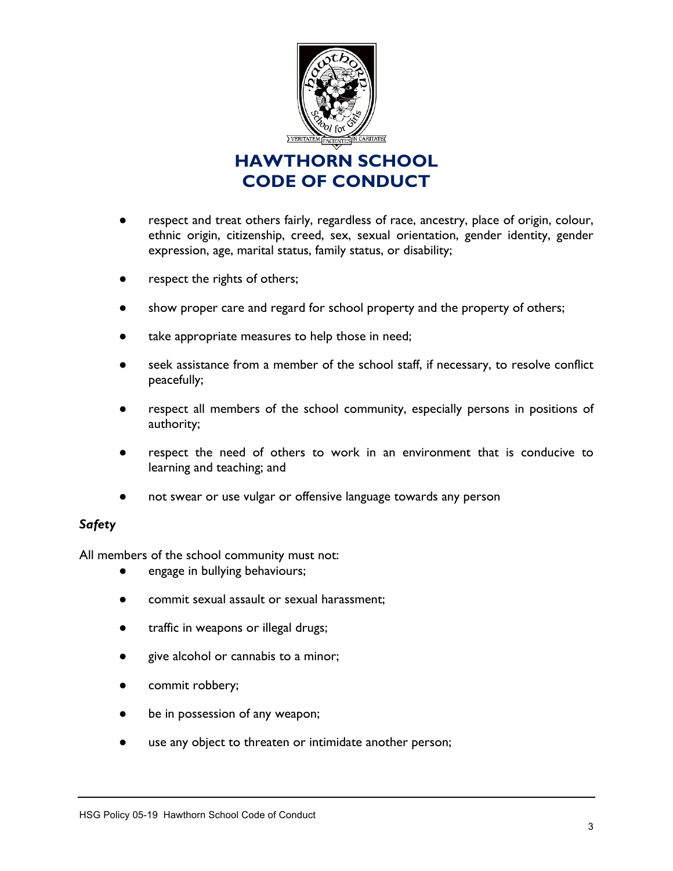

- respect and treat others fairly, regardless of race, ancestry, place of origin, colour, ethnic origin, citizenship, creed, sex, sexual orientation, gender identity, gender expression, age, marital status, family status, or disability;
- respect the rights of others;
- show proper care and regard for school property and the property of others;
- take appropriate measures to help those in need;
- seek assistance from a member of the school staff, if necessary, to resolve conflict peacefully;
- respect all members of the school community, especially persons in positions of authority;
- respect the need of others to work in an environment that is conducive to learning and teaching; and
- not swear or use vulgar or offensive language towards any person

### *Safety*

All members of the school community must not:

- engage in bullying behaviours;
- commit sexual assault or sexual harassment;
- traffic in weapons or illegal drugs;
- give alcohol or cannabis to a minor;
- commit robbery;
- be in possession of any weapon;
- use any object to threaten or intimidate another person;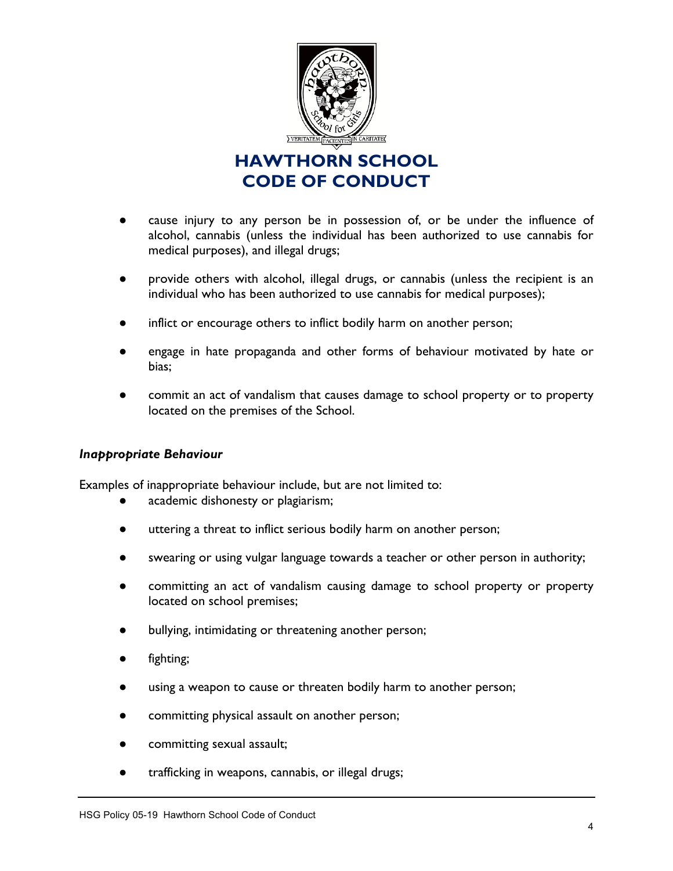

- cause injury to any person be in possession of, or be under the influence of alcohol, cannabis (unless the individual has been authorized to use cannabis for medical purposes), and illegal drugs;
- provide others with alcohol, illegal drugs, or cannabis (unless the recipient is an individual who has been authorized to use cannabis for medical purposes);
- inflict or encourage others to inflict bodily harm on another person;
- engage in hate propaganda and other forms of behaviour motivated by hate or bias;
- commit an act of vandalism that causes damage to school property or to property located on the premises of the School.

#### *Inappropriate Behaviour*

Examples of inappropriate behaviour include, but are not limited to:

- academic dishonesty or plagiarism;
- uttering a threat to inflict serious bodily harm on another person;
- swearing or using vulgar language towards a teacher or other person in authority;
- committing an act of vandalism causing damage to school property or property located on school premises;
- bullying, intimidating or threatening another person;
- fighting;
- using a weapon to cause or threaten bodily harm to another person;
- committing physical assault on another person;
- committing sexual assault;
- trafficking in weapons, cannabis, or illegal drugs;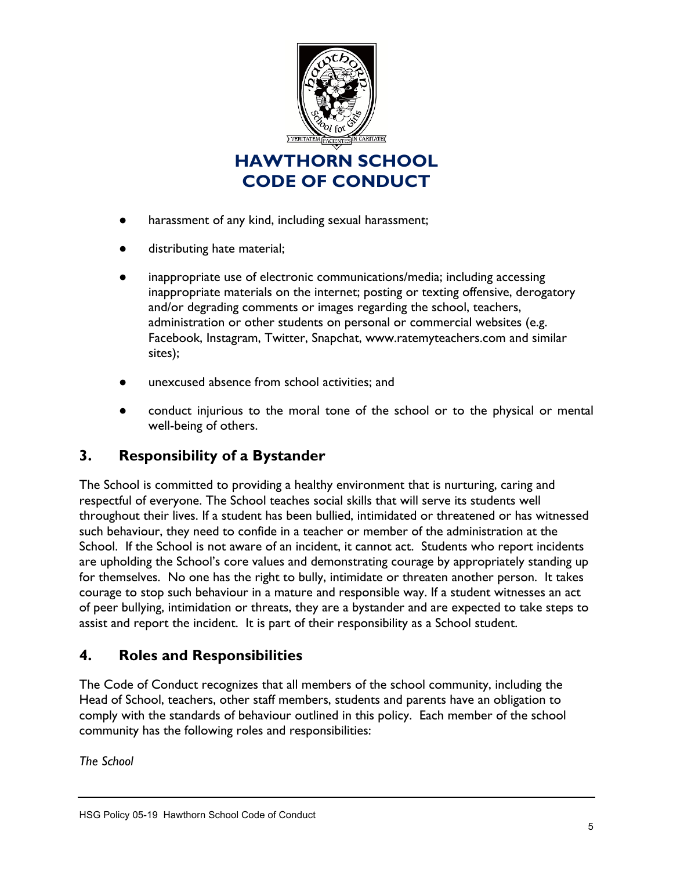

- harassment of any kind, including sexual harassment;
- distributing hate material;
- inappropriate use of electronic communications/media; including accessing inappropriate materials on the internet; posting or texting offensive, derogatory and/or degrading comments or images regarding the school, teachers, administration or other students on personal or commercial websites (e.g. Facebook, Instagram, Twitter, Snapchat, www.ratemyteachers.com and similar sites);
- unexcused absence from school activities; and
- conduct injurious to the moral tone of the school or to the physical or mental well-being of others.

## **3. Responsibility of a Bystander**

The School is committed to providing a healthy environment that is nurturing, caring and respectful of everyone. The School teaches social skills that will serve its students well throughout their lives. If a student has been bullied, intimidated or threatened or has witnessed such behaviour, they need to confide in a teacher or member of the administration at the School. If the School is not aware of an incident, it cannot act. Students who report incidents are upholding the School's core values and demonstrating courage by appropriately standing up for themselves. No one has the right to bully, intimidate or threaten another person. It takes courage to stop such behaviour in a mature and responsible way. If a student witnesses an act of peer bullying, intimidation or threats, they are a bystander and are expected to take steps to assist and report the incident. It is part of their responsibility as a School student.

## **4. Roles and Responsibilities**

The Code of Conduct recognizes that all members of the school community, including the Head of School, teachers, other staff members, students and parents have an obligation to comply with the standards of behaviour outlined in this policy. Each member of the school community has the following roles and responsibilities:

*The School*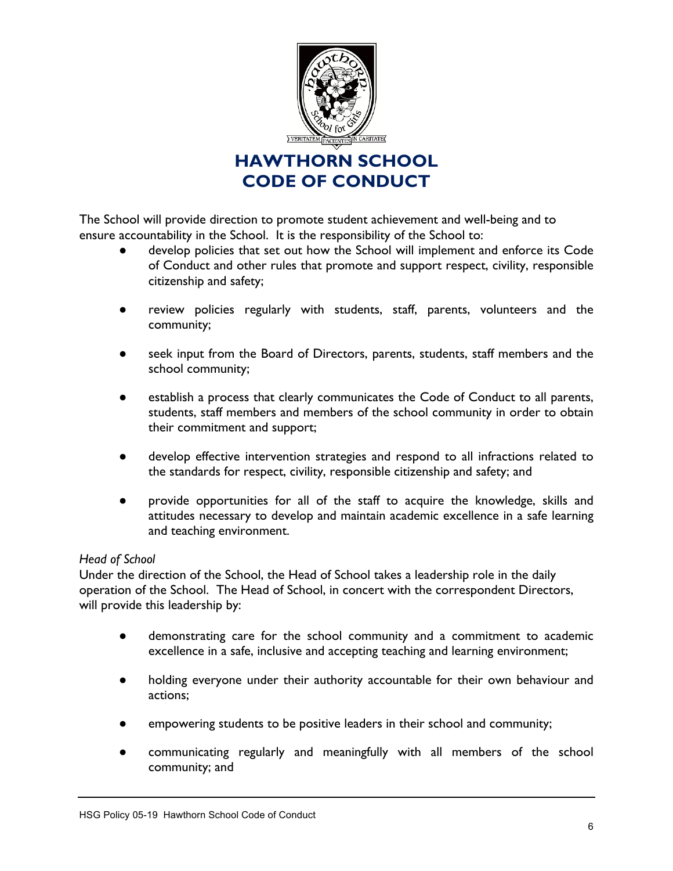

The School will provide direction to promote student achievement and well-being and to ensure accountability in the School. It is the responsibility of the School to:

- develop policies that set out how the School will implement and enforce its Code of Conduct and other rules that promote and support respect, civility, responsible citizenship and safety;
- review policies regularly with students, staff, parents, volunteers and the community;
- seek input from the Board of Directors, parents, students, staff members and the school community;
- establish a process that clearly communicates the Code of Conduct to all parents, students, staff members and members of the school community in order to obtain their commitment and support;
- develop effective intervention strategies and respond to all infractions related to the standards for respect, civility, responsible citizenship and safety; and
- provide opportunities for all of the staff to acquire the knowledge, skills and attitudes necessary to develop and maintain academic excellence in a safe learning and teaching environment.

### *Head of School*

Under the direction of the School, the Head of School takes a leadership role in the daily operation of the School. The Head of School, in concert with the correspondent Directors, will provide this leadership by:

- demonstrating care for the school community and a commitment to academic excellence in a safe, inclusive and accepting teaching and learning environment;
- holding everyone under their authority accountable for their own behaviour and actions;
- empowering students to be positive leaders in their school and community;
- communicating regularly and meaningfully with all members of the school community; and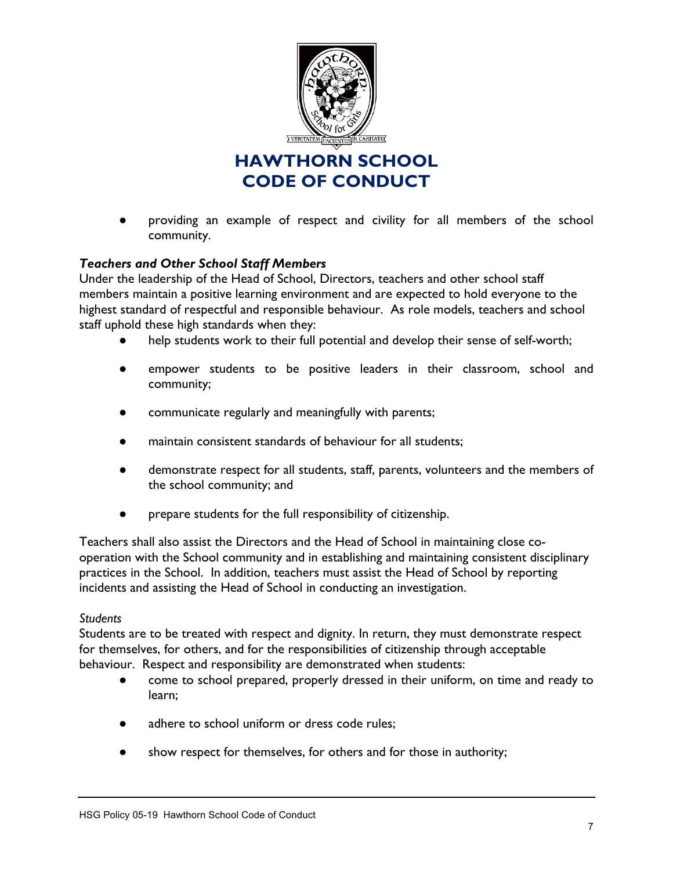

providing an example of respect and civility for all members of the school community.

### *Teachers and Other School Staff Members*

Under the leadership of the Head of School, Directors, teachers and other school staff members maintain a positive learning environment and are expected to hold everyone to the highest standard of respectful and responsible behaviour. As role models, teachers and school staff uphold these high standards when they:

- help students work to their full potential and develop their sense of self-worth;
- empower students to be positive leaders in their classroom, school and community;
- communicate regularly and meaningfully with parents;
- maintain consistent standards of behaviour for all students;
- demonstrate respect for all students, staff, parents, volunteers and the members of the school community; and
- prepare students for the full responsibility of citizenship.

Teachers shall also assist the Directors and the Head of School in maintaining close cooperation with the School community and in establishing and maintaining consistent disciplinary practices in the School. In addition, teachers must assist the Head of School by reporting incidents and assisting the Head of School in conducting an investigation.

#### *Students*

Students are to be treated with respect and dignity. In return, they must demonstrate respect for themselves, for others, and for the responsibilities of citizenship through acceptable behaviour. Respect and responsibility are demonstrated when students:

- come to school prepared, properly dressed in their uniform, on time and ready to learn;
- adhere to school uniform or dress code rules;
- show respect for themselves, for others and for those in authority;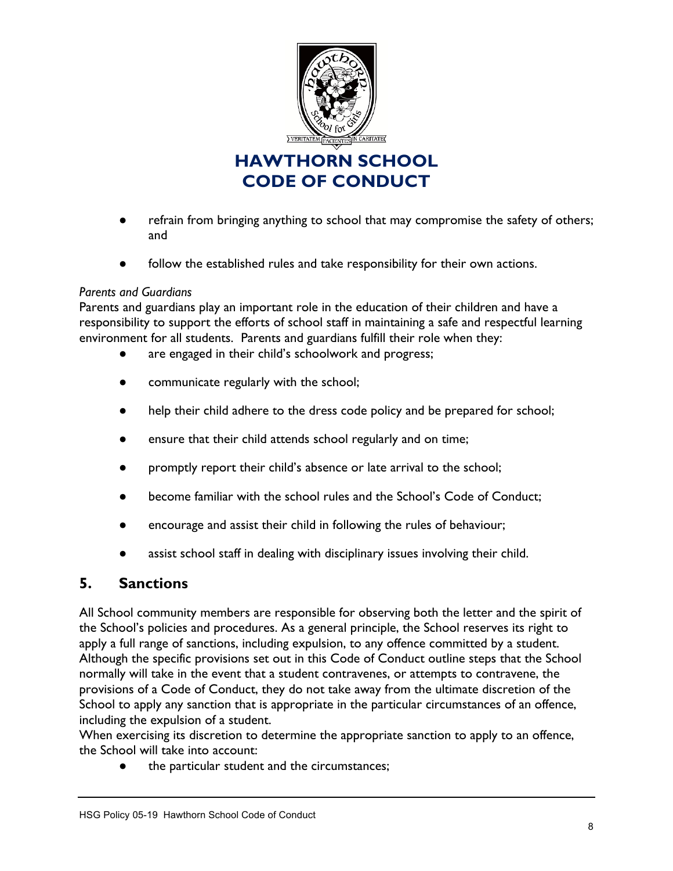

- refrain from bringing anything to school that may compromise the safety of others; and
- follow the established rules and take responsibility for their own actions.

#### *Parents and Guardians*

Parents and guardians play an important role in the education of their children and have a responsibility to support the efforts of school staff in maintaining a safe and respectful learning environment for all students. Parents and guardians fulfill their role when they:

- are engaged in their child's schoolwork and progress;
- communicate regularly with the school;
- help their child adhere to the dress code policy and be prepared for school;
- ensure that their child attends school regularly and on time;
- promptly report their child's absence or late arrival to the school;
- become familiar with the school rules and the School's Code of Conduct;
- encourage and assist their child in following the rules of behaviour;
- assist school staff in dealing with disciplinary issues involving their child.

## **5. Sanctions**

All School community members are responsible for observing both the letter and the spirit of the School's policies and procedures. As a general principle, the School reserves its right to apply a full range of sanctions, including expulsion, to any offence committed by a student. Although the specific provisions set out in this Code of Conduct outline steps that the School normally will take in the event that a student contravenes, or attempts to contravene, the provisions of a Code of Conduct, they do not take away from the ultimate discretion of the School to apply any sanction that is appropriate in the particular circumstances of an offence, including the expulsion of a student.

When exercising its discretion to determine the appropriate sanction to apply to an offence, the School will take into account:

● the particular student and the circumstances;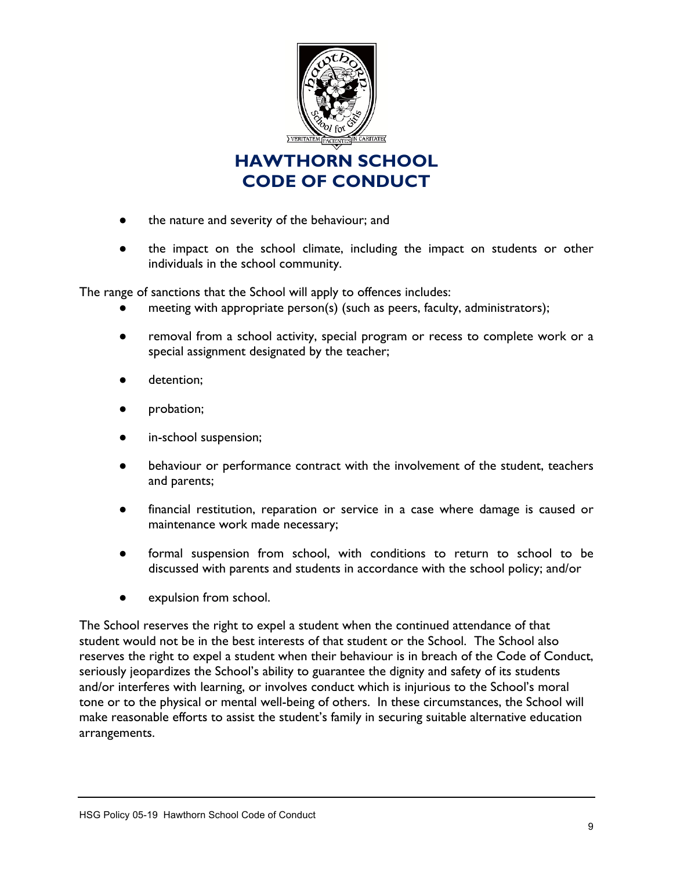

- the nature and severity of the behaviour; and
- the impact on the school climate, including the impact on students or other individuals in the school community.

The range of sanctions that the School will apply to offences includes:

- meeting with appropriate person(s) (such as peers, faculty, administrators);
- removal from a school activity, special program or recess to complete work or a special assignment designated by the teacher;
- detention;
- probation;
- in-school suspension;
- behaviour or performance contract with the involvement of the student, teachers and parents;
- financial restitution, reparation or service in a case where damage is caused or maintenance work made necessary;
- formal suspension from school, with conditions to return to school to be discussed with parents and students in accordance with the school policy; and/or
- expulsion from school.

The School reserves the right to expel a student when the continued attendance of that student would not be in the best interests of that student or the School. The School also reserves the right to expel a student when their behaviour is in breach of the Code of Conduct, seriously jeopardizes the School's ability to guarantee the dignity and safety of its students and/or interferes with learning, or involves conduct which is injurious to the School's moral tone or to the physical or mental well-being of others. In these circumstances, the School will make reasonable efforts to assist the student's family in securing suitable alternative education arrangements.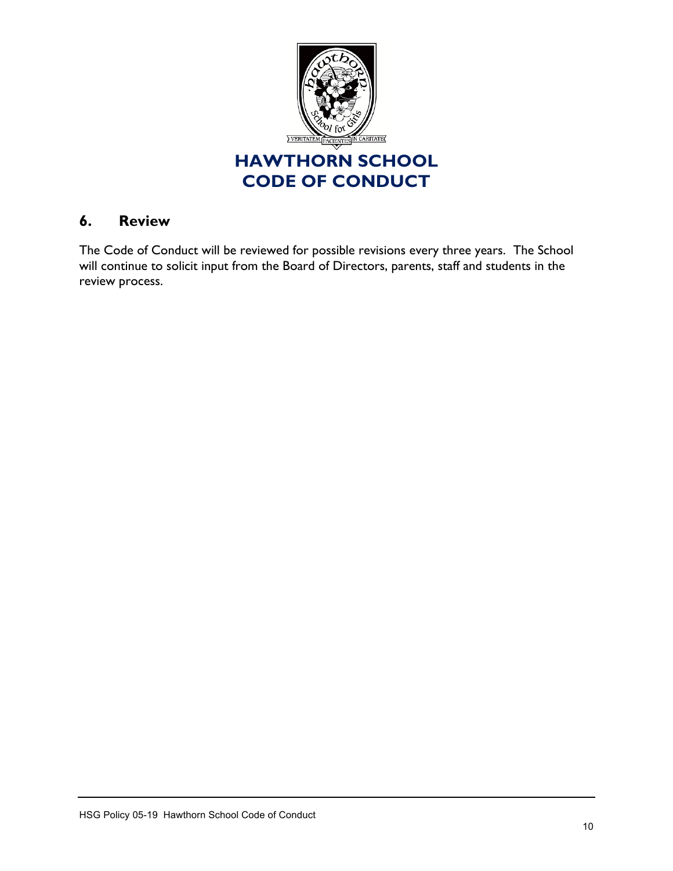

## **6. Review**

The Code of Conduct will be reviewed for possible revisions every three years. The School will continue to solicit input from the Board of Directors, parents, staff and students in the review process.